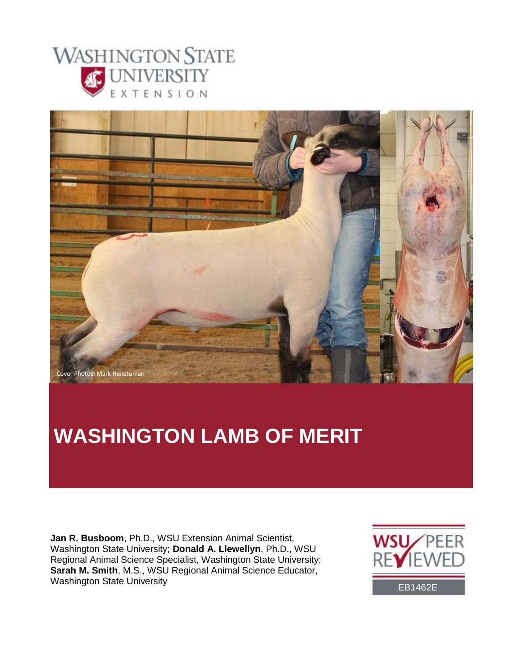



# **WASHINGTON LAMB OF MERIT**

**Jan R. Busboom**, Ph.D., WSU Extension Animal Scientist, Washington State University; **Donald A. Llewellyn**, Ph.D., WSU Regional Animal Science Specialist, Washington State University; **Sarah M. Smith**, M.S., WSU Regional Animal Science Educator, Washington State University **EB1462E** 

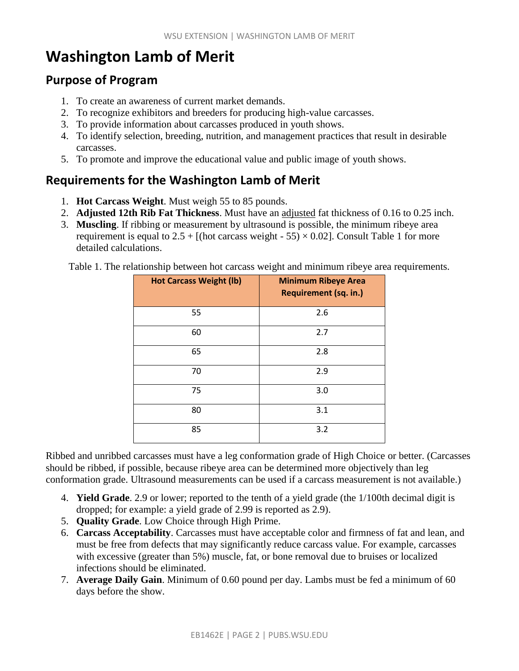# **Washington Lamb of Merit**

### **Purpose of Program**

- 1. To create an awareness of current market demands.
- 2. To recognize exhibitors and breeders for producing high-value carcasses.
- 3. To provide information about carcasses produced in youth shows.
- 4. To identify selection, breeding, nutrition, and management practices that result in desirable carcasses.
- 5. To promote and improve the educational value and public image of youth shows.

## **Requirements for the Washington Lamb of Merit**

- 1. **Hot Carcass Weight**. Must weigh 55 to 85 pounds.
- 2. **Adjusted 12th Rib Fat Thickness**. Must have an adjusted fat thickness of 0.16 to 0.25 inch.
- 3. **Muscling**. If ribbing or measurement by ultrasound is possible, the minimum ribeye area requirement is equal to  $2.5 +$  [(hot carcass weight - 55)  $\times$  0.02]. Consult Table 1 for more detailed calculations.

Table 1. The relationship between hot carcass weight and minimum ribeye area requirements.

| <b>Hot Carcass Weight (lb)</b> | <b>Minimum Ribeye Area</b><br>Requirement (sq. in.) |
|--------------------------------|-----------------------------------------------------|
| 55                             | 2.6                                                 |
| 60                             | 2.7                                                 |
| 65                             | 2.8                                                 |
| 70                             | 2.9                                                 |
| 75                             | 3.0                                                 |
| 80                             | 3.1                                                 |
| 85                             | 3.2                                                 |

Ribbed and unribbed carcasses must have a leg conformation grade of High Choice or better. (Carcasses should be ribbed, if possible, because ribeye area can be determined more objectively than leg conformation grade. Ultrasound measurements can be used if a carcass measurement is not available.)

- 4. **Yield Grade**. 2.9 or lower; reported to the tenth of a yield grade (the 1/100th decimal digit is dropped; for example: a yield grade of 2.99 is reported as 2.9).
- 5. **Quality Grade**. Low Choice through High Prime.
- 6. **Carcass Acceptability**. Carcasses must have acceptable color and firmness of fat and lean, and must be free from defects that may significantly reduce carcass value. For example, carcasses with excessive (greater than 5%) muscle, fat, or bone removal due to bruises or localized infections should be eliminated.
- 7. **Average Daily Gain**. Minimum of 0.60 pound per day. Lambs must be fed a minimum of 60 days before the show.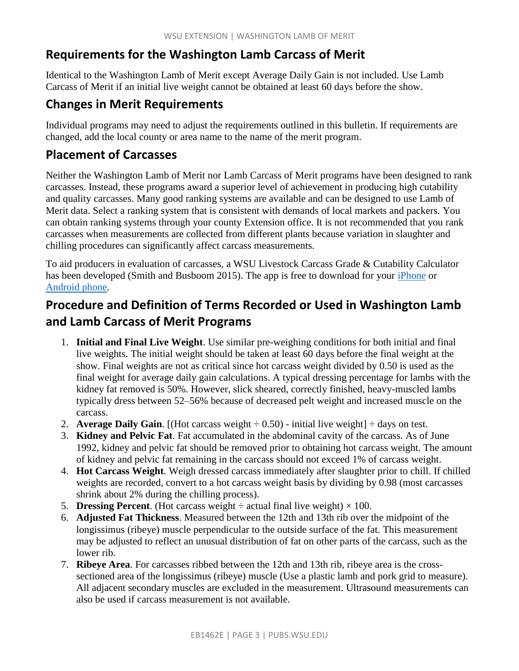# **Requirements for the Washington Lamb Carcass of Merit**

Identical to the Washington Lamb of Merit except Average Daily Gain is not included. Use Lamb Carcass of Merit if an initial live weight cannot be obtained at least 60 days before the show.

### **Changes in Merit Requirements**

Individual programs may need to adjust the requirements outlined in this bulletin. If requirements are changed, add the local county or area name to the name of the merit program.

### **Placement of Carcasses**

Neither the Washington Lamb of Merit nor Lamb Carcass of Merit programs have been designed to rank carcasses. Instead, these programs award a superior level of achievement in producing high cutability and quality carcasses. Many good ranking systems are available and can be designed to use Lamb of Merit data. Select a ranking system that is consistent with demands of local markets and packers. You can obtain ranking systems through your county Extension office. It is not recommended that you rank carcasses when measurements are collected from different plants because variation in slaughter and chilling procedures can significantly affect carcass measurements.

To aid producers in evaluation of carcasses, a WSU Livestock Carcass Grade & Cutability Calculator has been developed (Smith and Busboom 2015). The app is free to download for your [iPhone](https://itunes.apple.com/us/app/livestock-carcass-calculator/id1022439322?mt=8) or [Android phone.](https://play.google.com/store/apps/details?id=edu.wsu.meatcalculator)

# **Procedure and Definition of Terms Recorded or Used in Washington Lamb and Lamb Carcass of Merit Programs**

- 1. **Initial and Final Live Weight**. Use similar pre-weighing conditions for both initial and final live weights. The initial weight should be taken at least 60 days before the final weight at the show. Final weights are not as critical since hot carcass weight divided by 0.50 is used as the final weight for average daily gain calculations. A typical dressing percentage for lambs with the kidney fat removed is 50%. However, slick sheared, correctly finished, heavy-muscled lambs typically dress between 52–56% because of decreased pelt weight and increased muscle on the carcass.
- 2. **Average Daily Gain.** [(Hot carcass weight  $\div$  0.50) initial live weight]  $\div$  days on test.
- 3. **Kidney and Pelvic Fat**. Fat accumulated in the abdominal cavity of the carcass. As of June 1992, kidney and pelvic fat should be removed prior to obtaining hot carcass weight. The amount of kidney and pelvic fat remaining in the carcass should not exceed 1% of carcass weight.
- 4. **Hot Carcass Weight**. Weigh dressed carcass immediately after slaughter prior to chill. If chilled weights are recorded, convert to a hot carcass weight basis by dividing by 0.98 (most carcasses shrink about 2% during the chilling process).
- 5. **Dressing Percent**. (Hot carcass weight  $\div$  actual final live weight)  $\times$  100.
- 6. **Adjusted Fat Thickness**. Measured between the 12th and 13th rib over the midpoint of the longissimus (ribeye) muscle perpendicular to the outside surface of the fat. This measurement may be adjusted to reflect an unusual distribution of fat on other parts of the carcass, such as the lower rib.
- 7. **Ribeye Area**. For carcasses ribbed between the 12th and 13th rib, ribeye area is the crosssectioned area of the longissimus (ribeye) muscle (Use a plastic lamb and pork grid to measure). All adjacent secondary muscles are excluded in the measurement. Ultrasound measurements can also be used if carcass measurement is not available.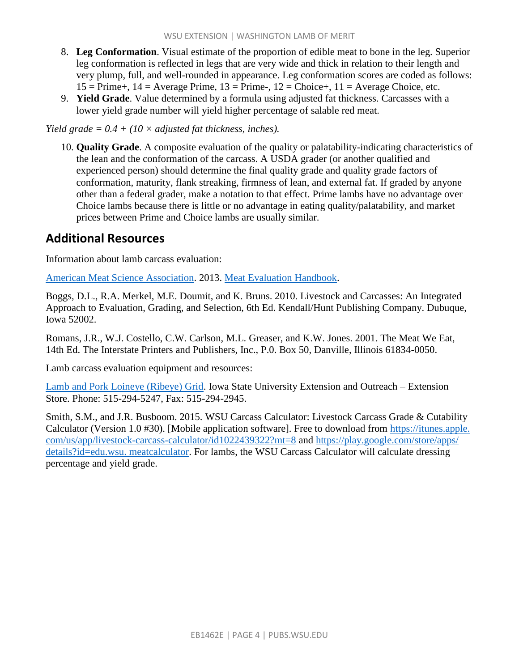- 8. **Leg Conformation**. Visual estimate of the proportion of edible meat to bone in the leg. Superior leg conformation is reflected in legs that are very wide and thick in relation to their length and very plump, full, and well-rounded in appearance. Leg conformation scores are coded as follows:  $15 =$  Prime+,  $14 =$  Average Prime,  $13 =$  Prime-,  $12 =$  Choice+,  $11 =$  Average Choice, etc.
- 9. **Yield Grade**. Value determined by a formula using adjusted fat thickness. Carcasses with a lower yield grade number will yield higher percentage of salable red meat.

*Yield grade = 0.4 + (10 × adjusted fat thickness, inches).*

10. **Quality Grade**. A composite evaluation of the quality or palatability-indicating characteristics of the lean and the conformation of the carcass. A USDA grader (or another qualified and experienced person) should determine the final quality grade and quality grade factors of conformation, maturity, flank streaking, firmness of lean, and external fat. If graded by anyone other than a federal grader, make a notation to that effect. Prime lambs have no advantage over Choice lambs because there is little or no advantage in eating quality/palatability, and market prices between Prime and Choice lambs are usually similar.

#### **Additional Resources**

Information about lamb carcass evaluation:

[American Meat Science Association.](http://www.meatscience.org/) 2013. [Meat Evaluation Handbook.](https://www.meatscience.org/publications-resources/printed-publications/meat-evaluation-handbook)

Boggs, D.L., R.A. Merkel, M.E. Doumit, and K. Bruns. 2010. Livestock and Carcasses: An Integrated Approach to Evaluation, Grading, and Selection, 6th Ed. Kendall/Hunt Publishing Company. Dubuque, Iowa 52002.

Romans, J.R., W.J. Costello, C.W. Carlson, M.L. Greaser, and K.W. Jones. 2001. The Meat We Eat, 14th Ed. The Interstate Printers and Publishers, Inc., P.0. Box 50, Danville, Illinois 61834-0050.

Lamb carcass evaluation equipment and resources:

[Lamb and Pork Loineye \(Ribeye\) Grid.](https://store.extension.iastate.edu/Product/Plastic-Grid-for-Quick-Measurement-of-Loin-Eye-Pork-and-Lamb-with-envelope) Iowa State University Extension and Outreach – Extension Store. Phone: 515-294-5247, Fax: 515-294-2945.

Smith, S.M., and J.R. Busboom. 2015. WSU Carcass Calculator: Livestock Carcass Grade & Cutability Calculator (Version 1.0 #30). [Mobile application software]. Free to download from https://itunes.apple. com/us/app/livestock-carcass-calculator/id1022439322?mt=8 and [https://play.google.com/store/apps/](https://play.google.com/store/apps/%20details?id=edu.wsu.%20meatcalculator)  [details?id=edu.wsu. meatcalculator.](https://play.google.com/store/apps/%20details?id=edu.wsu.%20meatcalculator) For lambs, the WSU Carcass Calculator will calculate dressing percentage and yield grade.